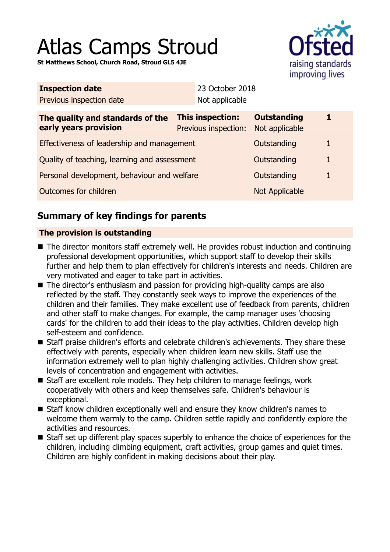# Atlas Camps Stroud

**St Matthews School, Church Road, Stroud GL5 4JE**



| <b>Inspection date</b>                                    |                                          | 23 October 2018 |                                      |   |  |
|-----------------------------------------------------------|------------------------------------------|-----------------|--------------------------------------|---|--|
| Previous inspection date                                  |                                          | Not applicable  |                                      |   |  |
| The quality and standards of the<br>early years provision | This inspection:<br>Previous inspection: |                 | <b>Outstanding</b><br>Not applicable |   |  |
| Effectiveness of leadership and management                |                                          |                 | Outstanding                          |   |  |
| Quality of teaching, learning and assessment              |                                          |                 | Outstanding                          | 1 |  |
| Personal development, behaviour and welfare               |                                          |                 | Outstanding                          |   |  |
| Outcomes for children                                     |                                          |                 | <b>Not Applicable</b>                |   |  |
|                                                           |                                          |                 |                                      |   |  |

# **Summary of key findings for parents**

## **The provision is outstanding**

- The director monitors staff extremely well. He provides robust induction and continuing professional development opportunities, which support staff to develop their skills further and help them to plan effectively for children's interests and needs. Children are very motivated and eager to take part in activities.
- The director's enthusiasm and passion for providing high-quality camps are also reflected by the staff. They constantly seek ways to improve the experiences of the children and their families. They make excellent use of feedback from parents, children and other staff to make changes. For example, the camp manager uses 'choosing cards' for the children to add their ideas to the play activities. Children develop high self-esteem and confidence.
- Staff praise children's efforts and celebrate children's achievements. They share these effectively with parents, especially when children learn new skills. Staff use the information extremely well to plan highly challenging activities. Children show great levels of concentration and engagement with activities.
- Staff are excellent role models. They help children to manage feelings, work cooperatively with others and keep themselves safe. Children's behaviour is exceptional.
- Staff know children exceptionally well and ensure they know children's names to welcome them warmly to the camp. Children settle rapidly and confidently explore the activities and resources.
- Staff set up different play spaces superbly to enhance the choice of experiences for the children, including climbing equipment, craft activities, group games and quiet times. Children are highly confident in making decisions about their play.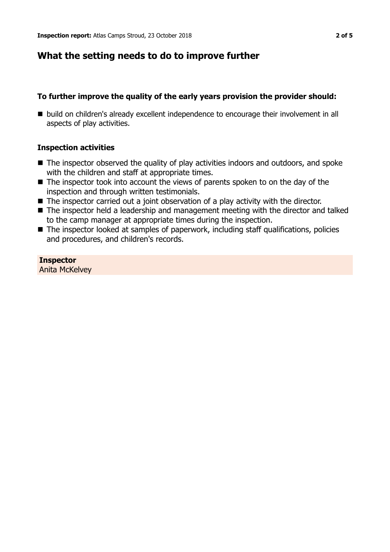## **What the setting needs to do to improve further**

## **To further improve the quality of the early years provision the provider should:**

■ build on children's already excellent independence to encourage their involvement in all aspects of play activities.

### **Inspection activities**

- $\blacksquare$  The inspector observed the quality of play activities indoors and outdoors, and spoke with the children and staff at appropriate times.
- $\blacksquare$  The inspector took into account the views of parents spoken to on the day of the inspection and through written testimonials.
- $\blacksquare$  The inspector carried out a joint observation of a play activity with the director.
- The inspector held a leadership and management meeting with the director and talked to the camp manager at appropriate times during the inspection.
- $\blacksquare$  The inspector looked at samples of paperwork, including staff qualifications, policies and procedures, and children's records.

**Inspector** Anita McKelvey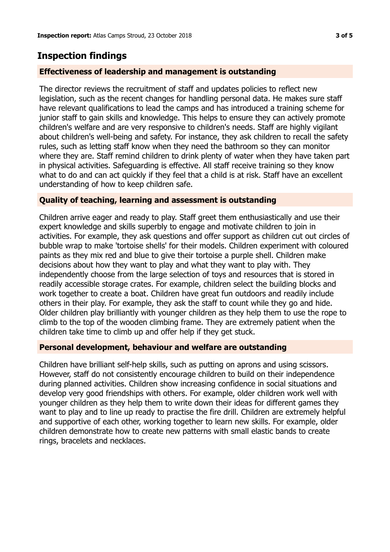## **Inspection findings**

### **Effectiveness of leadership and management is outstanding**

The director reviews the recruitment of staff and updates policies to reflect new legislation, such as the recent changes for handling personal data. He makes sure staff have relevant qualifications to lead the camps and has introduced a training scheme for junior staff to gain skills and knowledge. This helps to ensure they can actively promote children's welfare and are very responsive to children's needs. Staff are highly vigilant about children's well-being and safety. For instance, they ask children to recall the safety rules, such as letting staff know when they need the bathroom so they can monitor where they are. Staff remind children to drink plenty of water when they have taken part in physical activities. Safeguarding is effective. All staff receive training so they know what to do and can act quickly if they feel that a child is at risk. Staff have an excellent understanding of how to keep children safe.

#### **Quality of teaching, learning and assessment is outstanding**

Children arrive eager and ready to play. Staff greet them enthusiastically and use their expert knowledge and skills superbly to engage and motivate children to join in activities. For example, they ask questions and offer support as children cut out circles of bubble wrap to make 'tortoise shells' for their models. Children experiment with coloured paints as they mix red and blue to give their tortoise a purple shell. Children make decisions about how they want to play and what they want to play with. They independently choose from the large selection of toys and resources that is stored in readily accessible storage crates. For example, children select the building blocks and work together to create a boat. Children have great fun outdoors and readily include others in their play. For example, they ask the staff to count while they go and hide. Older children play brilliantly with younger children as they help them to use the rope to climb to the top of the wooden climbing frame. They are extremely patient when the children take time to climb up and offer help if they get stuck.

#### **Personal development, behaviour and welfare are outstanding**

Children have brilliant self-help skills, such as putting on aprons and using scissors. However, staff do not consistently encourage children to build on their independence during planned activities. Children show increasing confidence in social situations and develop very good friendships with others. For example, older children work well with younger children as they help them to write down their ideas for different games they want to play and to line up ready to practise the fire drill. Children are extremely helpful and supportive of each other, working together to learn new skills. For example, older children demonstrate how to create new patterns with small elastic bands to create rings, bracelets and necklaces.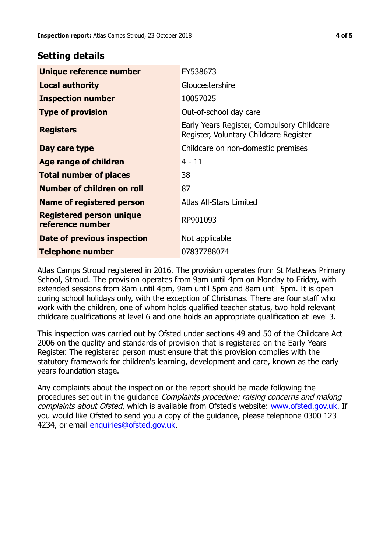## **Setting details**

| Unique reference number                             | EY538673                                                                             |  |
|-----------------------------------------------------|--------------------------------------------------------------------------------------|--|
| <b>Local authority</b>                              | Gloucestershire                                                                      |  |
| <b>Inspection number</b>                            | 10057025                                                                             |  |
| <b>Type of provision</b>                            | Out-of-school day care                                                               |  |
| <b>Registers</b>                                    | Early Years Register, Compulsory Childcare<br>Register, Voluntary Childcare Register |  |
| Day care type                                       | Childcare on non-domestic premises                                                   |  |
| <b>Age range of children</b>                        | $4 - 11$                                                                             |  |
| <b>Total number of places</b>                       | 38                                                                                   |  |
| Number of children on roll                          | 87                                                                                   |  |
| Name of registered person                           | <b>Atlas All-Stars Limited</b>                                                       |  |
| <b>Registered person unique</b><br>reference number | RP901093                                                                             |  |
| Date of previous inspection                         | Not applicable                                                                       |  |
| <b>Telephone number</b>                             | 07837788074                                                                          |  |

Atlas Camps Stroud registered in 2016. The provision operates from St Mathews Primary School, Stroud. The provision operates from 9am until 4pm on Monday to Friday, with extended sessions from 8am until 4pm, 9am until 5pm and 8am until 5pm. It is open during school holidays only, with the exception of Christmas. There are four staff who work with the children, one of whom holds qualified teacher status, two hold relevant childcare qualifications at level 6 and one holds an appropriate qualification at level 3.

This inspection was carried out by Ofsted under sections 49 and 50 of the Childcare Act 2006 on the quality and standards of provision that is registered on the Early Years Register. The registered person must ensure that this provision complies with the statutory framework for children's learning, development and care, known as the early years foundation stage.

Any complaints about the inspection or the report should be made following the procedures set out in the guidance Complaints procedure: raising concerns and making complaints about Ofsted, which is available from Ofsted's website: www.ofsted.gov.uk. If you would like Ofsted to send you a copy of the guidance, please telephone 0300 123 4234, or email [enquiries@ofsted.gov.uk.](mailto:enquiries@ofsted.gov.uk)